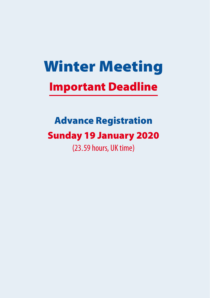# Winter Meeting Important Deadline

# Advance Registration Sunday 19 January 2020

(23.59 hours, UK time)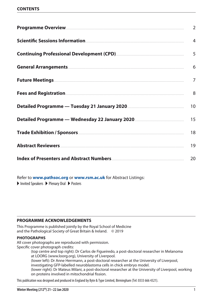### **CONTENTS**

|                    | 2              |
|--------------------|----------------|
|                    | $\overline{4}$ |
|                    | 5              |
|                    | 6              |
| Future Meetings    | $\overline{7}$ |
|                    | 8              |
|                    | 10             |
|                    | 15             |
|                    | 18             |
| Abstract Reviewers | 19             |
|                    | 20             |

Refer to **[www.pathsoc.org](https://www.pathsoc.org/index.php/meetings/society-scientific-meetings)** or **[www.rsm.ac.uk](https://www.rsm.ac.uk/events/pathology/2019-20/ptn01)** for Abstract Listings:

 $\blacktriangleright$  Invited Speakers  $\blacktriangleright$  Plenary Oral  $\blacktriangleright$  Posters

### **Programme acknowledgements**

This Programme is published jointly by the Royal School of Medicine and the Pathological Society of Great Britain & Ireland. © 2019

### **photographs**

All cover photographs are reproduced with permission. Specific cover photograph credits:

.................(top centre and top right): Dr Carlos de Figueiredo, a post-doctoral researcher in Melanoma at LOORG (www.loorg.org), University of Liverpool.

(lower left): Dr Anne Herrmann, a post-doctoral researcher at the University of Liverpool,

investigating GFP-labelled neuroblastoma cells in chick embryo model.

(lower right): Dr Mateus Milani, a post-doctoral researcher at the University of Liverpool, working on proteins involved in mitochondrial fission.

This publication was designed and produced in England by Byte & Type Limited, Birmingham (Tel: 0333 666 4321).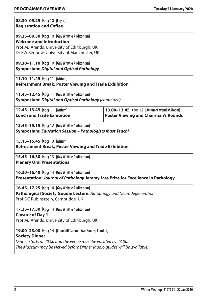| 08.30-09.25 →pg 10 [Foyer]<br><b>Registration and Coffee</b>                      |                                             |  |
|-----------------------------------------------------------------------------------|---------------------------------------------|--|
| 09.25-09.30 Ppg 10 [Guy Whittle Auditorium]                                       |                                             |  |
| <b>Welcome and Introduction</b>                                                   |                                             |  |
| Prof MJ Arends, University of Edinburgh, UK                                       |                                             |  |
| Dr EW Benbow, University of Manchester, UK                                        |                                             |  |
| 09.30-11.10 ▶pg 10 [Guy Whittle Auditorium]                                       |                                             |  |
| <b>Symposium: Digital and Optical Pathology</b>                                   |                                             |  |
| 11.10-11.45 → pg 11 [Atrium]                                                      |                                             |  |
| Refreshment Break, Poster Viewing and Trade Exhibition                            |                                             |  |
| 11.45-12.45 >pg 11 [Guy Whittle Auditorium]                                       |                                             |  |
| Symposium: Digital and Optical Pathology (continued)                              |                                             |  |
| 12.45-13.45 >pg 11 [Atrium]                                                       | 13.00-13.45 >pg 12 [Atrium/Cavendish Room]  |  |
| <b>Lunch and Trade Exhibition</b>                                                 | <b>Poster Viewing and Chairman's Rounds</b> |  |
| 13.45-15.15 >pg 12 [Guy Whittle Auditorium]                                       |                                             |  |
| Symposium: Education Session - Pathologists Must Teach!                           |                                             |  |
| 15.15-15.45 Ppg 13 [Atrium]                                                       |                                             |  |
| Refreshment Break, Poster Viewing and Trade Exhibition                            |                                             |  |
| 15.45-16.30 Ppg 13 [Guy Whittle Auditorium]                                       |                                             |  |
| <b>Plenary Oral Presentations</b>                                                 |                                             |  |
| 16.30-16.40 >pg 14 [Guy Whittle Auditorium]                                       |                                             |  |
| Presentation: Journal of Pathology Jeremy Jass Prize for Excellence in Pathology  |                                             |  |
| 16.45-17.25 >pg 14 [Guy Whittle Auditorium]                                       |                                             |  |
| Pathological Society Goudie Lecture: Autophagy and Neurodegeneration              |                                             |  |
| Prof DC Rubinsztein, Cambridge, UK                                                |                                             |  |
| 17.25-17.30 >pg 14 [Guy Whittle Auditorium]                                       |                                             |  |
| <b>Closure of Day 1</b>                                                           |                                             |  |
| Prof MJ Arends, University of Edinburgh, UK                                       |                                             |  |
| 19.00-23.00 Ppg 14 [Churchill Cabinet War Rooms, London]<br><b>Society Dinner</b> |                                             |  |
| Dinner starts at 20.00 and the venue must be vacated by 23.00.                    |                                             |  |
| The Museum may be viewed before Dinner (audio guides will be available).          |                                             |  |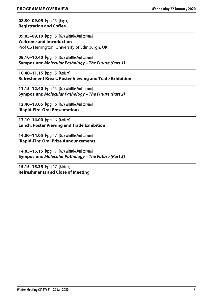| 08.30-09.05 → pg 15 [Foyer]    |  |  |
|--------------------------------|--|--|
| <b>Registration and Coffee</b> |  |  |

**09.05−09.10**  $\rho$  **Dog 15**  [Guy Whittle Auditorium] **Welcome and Introduction** Prof CS Herrington, University of Edinburgh, UK

**09.10−10.40**  $\rho$ q 15 **[Guy Whittle Auditorium] Symposium:** *Molecular Pathology – The Future (Part 1)*

**10.40−11.15**  $\rho$ pq 15 [Atrium] **Refreshment Break, Poster Viewing and Trade Exhibition**

**11.15−12.40**  $\rho$ pq 15 [Guy Whittle Auditorium] **Symposium:** *Molecular Pathology – The Future (Part 2)*

**12.40−13.05**  $\rho q 16$  [Guy Whittle Auditorium] **'Rapid-Fire' Oral Presentations**

**13.10−14.00**  $\rho$ pg 16 [Atrium] **Lunch, Poster Viewing and Trade Exhibition**

**14.00−14.05**  $\rho$ <sub>pq</sub> 17 [Guy Whittle Auditorium] **'Rapid-Fire' Oral Prize Announcements**

**14.05−15.15**  $\rho q$  17 [Guy Whittle Auditorium] **Symposium:** *Molecular Pathology – The Future (Part 3)*

**15.15–15.35** Apg 17 **[Atrium] Refreshments and Close of Meeting**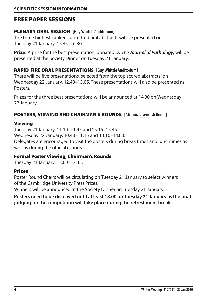# Free Paper Sessions

### PLENARY ORAL SESSION **[Guy Whittle Auditorium]**

The three highest-ranked submitted oral abstracts will be presented on Tuesday 21 January, 15.45–16.30.

**Prize:** A prize for the best presentation, donated by *The Journal of Pathology*, will be presented at the Society Dinner on Tuesday 21 January.

# Rapid-Fire ORAL PRESENTATIONS **[Guy Whittle Auditorium]**

There will be five presentations, selected from the top scored abstracts, on Wednesday 22 January, 12.40–13.05. These presentations will also be presented as **Posters** 

Prizes for the three best presentations will be announced at 14.00 on Wednesday 22 January.

# POSTERS, VIEWING and CHAIRMAN'S ROUNDS **[Atrium/Cavendish Room]**

### Viewing

Tuesday 21 January, 11.10–11.45 and 15.15–15.45. Wednesday 22 January, 10.40–11.15 and 13.10–14.00. Delegates are encouraged to visit the posters during break times and lunchtimes as well as during the official rounds.

# Formal Poster Viewing, Chairman's Rounds

Tuesday 21 January, 13.00–13.45.

# Prizes

Poster Round Chairs will be circulating on Tuesday 21 January to select winners of the Cambridge University Press Prizes.

Winners will be announced at the Society Dinner on Tuesday 21 January.

**Posters need to be displayed until at least 18.00 on Tuesday 21 January as the final judging for the competition will take place during the refreshment break.**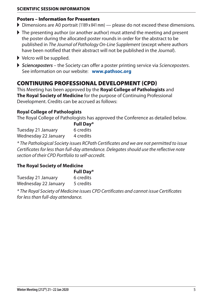### **SCIENTIFIC SESSION INFORMATION Scientific Session Information**

### Posters – Information for Presenters

- $\triangleright$  Dimensions are A0 portrait (1189 x 841 mm) please do not exceed these dimensions.
- $\blacktriangleright$  The presenting author (or another author) must attend the meeting and present the poster during the allocated poster rounds in order for the abstract to be published in *The Journal of Pathology On-Line Supplement* (except where authors have been notified that their abstract will not be published in the *Journal*).
- $\blacktriangleright$  Velcro will be supplied.
- A *Scienceposters* the Society can offer a poster printing service via *Scienceposters*. See information on our website: **[www.pathsoc.org](https://www.pathsoc.org/index.php/meetings/society-scientific-meetings)**

# CONTINUING PROFESSIONAL DEVELOPMENT (CPD)

This Meeting has been approved by the **Royal College of Pathologists** and **The Royal Society of Medicine** for the purpose of Continuing Professional Development. Credits can be accrued as follows:

### **Royal College of Pathologists**

The Royal College of Pathologists has approved the Conference as detailed below.

|                      | <b>Full Day*</b> |
|----------------------|------------------|
| Tuesday 21 January   | 6 credits        |
| Wednesday 22 January | 4 credits        |

*\* The Pathological Society issues RCPath Certificates and we are not permitted to issue Certificates for less than full-day attendance. Delegates should use the reflective note section of their CPD Portfolio to self-accredit.*

### **The Royal Society of Medicine**

|                      | <b>Full Day*</b> |
|----------------------|------------------|
| Tuesday 21 January   | 6 credits        |
| Wednesday 22 January | 5 credits        |

*\* The Royal Society of Medicine issues CPD Certificates and cannot issue Certificates for less than full-day attendance.*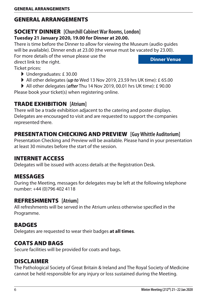# General Arrangements

# **SOCIETY DINNER** [Churchill Cabinet War Rooms, London] **Tuesday 21 January 2020, 19.00 for Dinner at 20.00.**

There is time before the Dinner to allow for viewing the Museum (audio guides will be available). Dinner ends at 23.00 (the venue must be vacated by 23.00).

For more details of the venue please use the direct link to the right.

**[Dinner Venue](https://www.iwm.org.uk/visits/churchill-war-rooms)**

Ticket prices:

- $\blacktriangleright$  Undergraduates: £30.00
- All other delegates (*up to* Wed 13 Nov 2019, 23.59 hrs UK time): £ 65.00
- All other delegates (*after* Thu 14 Nov 2019, 00.01 hrs UK time): £ 90.00

Please book your ticket(s) when registering online.

# TRADE EXHIBITION **[Atrium]**

There will be a trade exhibition adjacent to the catering and poster displays. Delegates are encouraged to visit and are requested to support the companies represented there.

# Presentation Checking and Preview **[Guy Whittle Auditorium]**

Presentation Checking and Preview will be available. Please hand in your presentation at least 30 minutes before the start of the session.

# Internet Access

Delegates will be issued with access details at the Registration Desk.

# Messages

During the Meeting, messages for delegates may be left at the following telephone number: +44 (0)796 402 4118

# Refreshments **[Atrium]**

All refreshments will be served in the Atrium unless otherwise specified in the Programme.

# **BADGES**

Delegates are requested to wear their badges **at all times**.

# **COATS AND BAGS**

Secure facilities will be provided for coats and bags.

# Disclaimer

The Pathological Society of Great Britain & Ireland and The Royal Society of Medicine cannot be held responsible for any injury or loss sustained during the Meeting.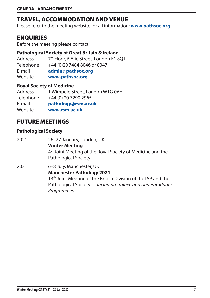# Travel, Accommodation and Venue

Please refer to the meeting website for all information: **[www.pathsoc.org](https://www.pathsoc.org/index.php/meetings/society-scientific-meetings)**

# **ENQUIRIES**

Before the meeting please contact:

### **Pathological Society of Great Britain & Ireland**

Address 7<sup>th</sup> Floor, 6 Alie Street, London E1 80T Telephone +44 (0)20 7484 8046 or 8047 E-mail **[admin@pathsoc.org](mailto:admin%40pathsoc.org?subject=Winter%20Meeting%202020)** Website **[www.pathsoc.org](https://www.pathsoc.org/index.php/meetings/society-scientific-meetings)**

### **Royal Society of Medicine**

Address 1 Wimpole Street, London W1G 0AE Telephone +44 (0) 20 7290 2965 E-mail **[pathology@rsm.ac.uk](mailto:pathology%40rsm.ac.uk?subject=Winter%20Meeting)** Website **[www.rsm.ac.uk](https://www.rsm.ac.uk/events/pathology/2019-20/ptn01)**

# FUTURE MEETINGS

### **Pathological Society**

2021 26–27 January, London, UK **Winter Meeting** 4th Joint Meeting of the Royal Society of Medicine and the Pathological Society

2021 6–8 July, Manchester, UK **Manchester Pathology 2021**  13<sup>th</sup> Joint Meeting of the British Division of the IAP and the Pathological Society *— including Trainee and Undergraduate Programmes.*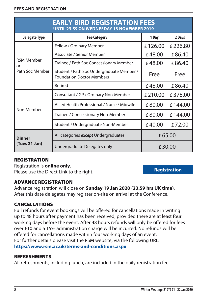| <b>EARLY BIRD REGISTRATION FEES</b><br><b>UNTIL 23.59 ON WEDNESDAY 13 NOVEMBER 2019</b> |                                                                               |         |         |
|-----------------------------------------------------------------------------------------|-------------------------------------------------------------------------------|---------|---------|
| <b>Delegate Type</b>                                                                    | <b>Fee Category</b>                                                           | 1 Day   | 2 Days  |
|                                                                                         | Fellow / Ordinary Member                                                      | £126.00 | £226.80 |
|                                                                                         | Associate / Senior Member                                                     | £48.00  | £86.40  |
| <b>RSM Member</b><br>or                                                                 | Trainee / Path Soc Concessionary Member                                       | £48.00  | £86.40  |
| Path Soc Member                                                                         | Student / Path Soc Undergraduate Member /<br><b>Foundation Doctor Members</b> | Free    | Free    |
|                                                                                         | Retired                                                                       | £48.00  | £86.40  |
| Non-Member                                                                              | Consultant / GP / Ordinary Non-Member                                         | £210.00 | £378.00 |
|                                                                                         | Allied Health Professional / Nurse / Midwife                                  | £80.00  | £144.00 |
|                                                                                         | Trainee / Concessionary Non-Member                                            | £80.00  | £144.00 |
|                                                                                         | Student / Undergraduate Non-Member                                            | £40.00  | £72.00  |
| <b>Dinner</b>                                                                           | All categories except Undergraduates                                          | £65.00  |         |
| (Tues 21 Jan)                                                                           | Undergraduate Delegates only                                                  | £30.00  |         |

# **REGISTRATION**

Registration is **online only**. Please use the Direct Link to the right.

**[Registration](https://www.rsm.ac.uk/events/pathology/2019-20/ptn01)**

# Advance registration

Advance registration will close on **Sunday 19 Jan 2020 (23.59 hrs UK time)**. After this date delegates may register on-site on arrival at the Conference.

# **CANCELLATIONS**

Full refunds for event bookings will be offered for cancellations made in writing up to 48 hours after payment has been received, provided there are at least four working days before the event. After 48 hours refunds will only be offered for fees over £10 and a 15% administration charge will be incurred. No refunds will be offered for cancellations made within four working days of an event. For further details please visit the RSM website, via the following URL: **<https://www.rsm.ac.uk/terms-and-conditions.aspx>**

### **REFRESHMENTS**

All refreshments, including lunch, are included in the daily registration fee.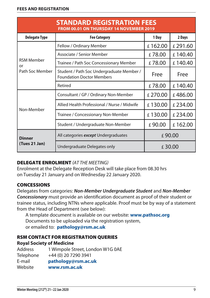| <b>STANDARD REGISTRATION FEES</b><br><b>FROM 00.01 ON THURSDAY 14 NOVEMBER 2019</b> |                                                                               |         |         |
|-------------------------------------------------------------------------------------|-------------------------------------------------------------------------------|---------|---------|
| <b>Delegate Type</b>                                                                | <b>Fee Category</b>                                                           | 1 Day   | 2 Days  |
|                                                                                     | Fellow / Ordinary Member                                                      | £162.00 | £291.60 |
|                                                                                     | Associate / Senior Member                                                     | £78.00  | £140.40 |
| <b>RSM Member</b><br>or                                                             | Trainee / Path Soc Concessionary Member                                       | £78.00  | £140.40 |
| Path Soc Member                                                                     | Student / Path Soc Undergraduate Member /<br><b>Foundation Doctor Members</b> | Free    | Free    |
|                                                                                     | Retired                                                                       | £78.00  | £140.40 |
|                                                                                     | Consultant / GP / Ordinary Non-Member                                         | £270.00 | £486.00 |
| Non-Member                                                                          | Allied Health Professional / Nurse / Midwife                                  | £130.00 | £234.00 |
|                                                                                     | Trainee / Concessionary Non-Member                                            | £130.00 | £234.00 |
|                                                                                     | Student / Undergraduate Non-Member                                            | £90.00  | £162.00 |
| <b>Dinner</b><br>(Tues 21 Jan)                                                      | All categories except Undergraduates                                          | £90.00  |         |
|                                                                                     | Undergraduate Delegates only                                                  | £30.00  |         |

### DELEGATE ENROLMENT *(AT THE MEETING)*

Enrolment at the Delegate Reception Desk will take place from 08.30 hrs on Tuesday 21 January and on Wednesday 22 January 2020.

### **CONCESSIONS**

Delegates from categories: *Non-Member Undergraduate Student* and *Non-Member Concessionary* must provide an identification document as proof of their student or trainee status, including NTNs where applicable. Proof must be by way of a statement from the Head of Department (see below):

A template document is available on our website: **[www.pathsoc.org](http://www.pathsoc.org/index.php/meetings/society-scientific-meetings)** Documents to be uploaded via the registration system, or emailed to: **[pathology@rsm.ac.uk](mailto:pathology%40rsm.ac.uk?subject=Winter%20Meeting%3A%20Concessions)**

### RSM Contact for Registration Queries

### **Royal Society of Medicine**

| <b>Address</b> | 1 Wimpole Street, London W1G 0AE |
|----------------|----------------------------------|
| Telephone      | +44 (0) 20 7290 3941             |
| E-mail         | pathology@rsm.ac.uk              |
| Website        | www.rsm.ac.uk                    |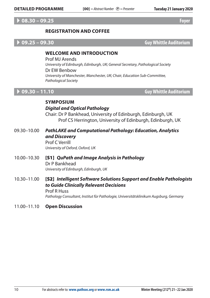### A **08.30 – 09.25 Foyer**

### **Registration and coffee**

A **09.25 – 09.30 Guy Whittle Auditorium**

### **Welcome and Introduction**

Prof MJ Arends *University of Edinburgh, Edinburgh, UK; General Secretary, Pathological Society* Dr EW Benbow *University of Manchester, Manchester, UK; Chair, Education Sub-Committee, Pathological Society*

A **09.30 – 11.10 Guy Whittle Auditorium**

### **Symposium** *Digital and Optical Pathology*

Chair: Dr P Bankhead, University of Edinburgh, Edinburgh, UK Prof CS Herrington, University of Edinburgh, Edinburgh, UK

- 09.30–10.00 *PathLAKE and Computational Pathology: Education, Analytics and Discovery* Prof C Verrill *University of Oxford, Oxford, UK*
- 10.00–10.30 [S1] *QuPath and Image Analysis in Pathology* Dr P Bankhead *University of Edinburgh, Edinburgh, UK*
- 10.30–11.00 [S2] *Intelligent Software Solutions Support and Enable Pathologists to Guide Clinically Relevant Decisions* Prof R Huss

*Pathology Consultant, Institut für Pathologie, Universitätsklinikum Augsburg, Germany* 

### 11.00–11.10 **Open Discussion**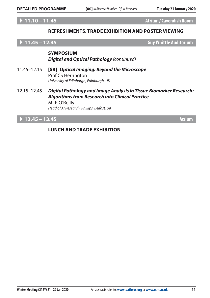A **11.10 – 11.45 Atrium/Cavendish Room**

### **REFRESHMENTS, Trade Exhibition and Poster Viewing**

A **11.45 – 12.45 Guy Whittle Auditorium**

### **Symposium** *Digital and Optical Pathology (continued)*

- 11.45–12.15 [S3] *Optical Imaging: Beyond the Microscope* Prof CS Herrington *University of Edinburgh, Edinburgh, UK*
- 12.15–12.45 *Digital Pathology and Image Analysis in Tissue Biomarker Research: Algorithms from Research into Clinical Practice* Mr P O'Reilly *Head of AI Research, Phillips, Belfast, UK*

# A **12.45 – 13.45 Atrium**

### **LUNCH AND Trade Exhibition**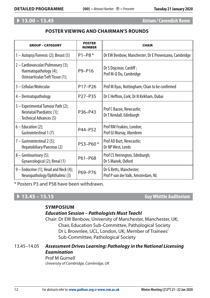# A **13.00 – 13.45 Atrium/Cavendish Room**

### **Poster Viewing AND CHAIRMAN'S ROUNDS**

| <b>GROUP - CATEGORY</b>                                                                       | <b>POSTER</b><br><b>NUMBER</b>   | <b>CHAIR</b>                                                  |
|-----------------------------------------------------------------------------------------------|----------------------------------|---------------------------------------------------------------|
| 1 – Autopsy/Forensic (2); Breast (5)                                                          | $P1 - P8*$                       | Dr EW Benbow, Manchester; Dr E Provenzano, Cambridge          |
| 2 - Cardiovascular/Pulmonary (3);<br>Haematopathology (4);<br>Osteoarticular/Soft Tissue (1); | P9-P16                           | Dr S Dojcinov, Cardiff;<br>Prof M-Q Du, Cambridge             |
| 3 - Cellular/Molecular                                                                        | P17-P26                          | Prof M Ilyas, Nottingham; Chair to be confirmed               |
| 4 - Dermatopathology                                                                          | P <sub>27</sub> -P <sub>35</sub> | Dr C Heffron, Cork; Dr N Kirkham, Dubai                       |
| 5 - Experimental Tumour Path (2);<br>Neonatal/Paediatric (1);<br>Technical Advances (5)       | P36-P43                          | Prof C Bacon, Newcastle;<br>Dr T Kendall, Edinburgh           |
| $6 -$ Education (2);<br>Gastrointestinal 1(7)                                                 | P44-P52                          | Prof RM Feakins, London;<br>Prof GI Murray, Aberdeen          |
| $7 -$ Gastrointestinal 2 (5);<br>Hepatobiliary/Pancreas (2)                                   | P53-P60*                         | Prof AD Burt, Newcastle;<br>Dr NP West, Leeds                 |
| 8 - Genitourinary (5);<br>Gynaecological (2); Renal (1)                                       | P61-P68                          | Prof CS Herrington, Edinburgh;<br>Dr S Manek, Oxford          |
| 9 - Endocrine (1); Head and Neck (4);<br>Neuropathology/Ophthalmic (3)                        | P69-P76                          | Dr G Betts, Manchester;<br>Prof P van der Valk, Amsterdam, NL |

\* Posters P3 and P58 have been withdrawn.

A **13.45 – 15.15 Guy Whittle Auditorium**

### **Symposium**

### *Education Session – Pathologists Must Teach!*

Chair: Dr EW Benbow, University of Manchester, Manchester, UK; Chair, Education Sub-Committee, Pathological Society Dr L Brownlee, UCL, London, UK; Member of Trainees' Sub-Committee, Pathological Society

### 13.45–14.05 *Assessment Drives Learning: Pathology in the National Licensing Examination*

Prof M Gurnell *University of Cambridge, Cambridge, UK*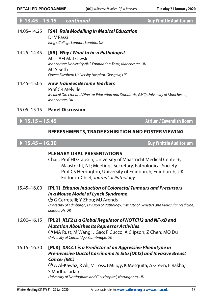# A **13.45 – 15.15** *— continued* **Guy Whittle Auditorium**

14.05–14.25 [S4] *Role Modelling in Medical Education* Dr V Passi *King's College London, London, UK*

14.25–14.45 [S5] *Why I Want to be a Pathologist* Miss AFI Matkowski *Manchester University NHS Foundation Trust, Manchester, UK* Mr S Seth *Queen Elizabeth University Hospital, Glasgow, UK*

14.45–15.05 *How Trainees Become Teachers* Prof CR Melville *Medical Director and Director Education and Standards, GMC; University of Manchester, Manchester, UK*

### 15.05–15.15 **Panel Discussion**

A **15.15 – 15.45 Atrium/Cavendish Room**

### **REFRESHMENTS, Trade Exhibition and Poster Viewing**

A **15.45 – 16.30 Guy Whittle Auditorium**

### **PLENARY ORAL PRESENTATIONS**

Chair: Prof HI Grabsch, University of Maastricht Medical Center+, Maastricht, NL; Meetings Secretary, Pathological Society Prof CS Herrington, University of Edinburgh, Edinburgh, UK; Editor-in-Chief, *Journal of Pathology*

15.45–16.00 [PL1] *Ethanol Induction of Colorectal Tumours and Precursors in a Mouse Model of Lynch Syndrome*

P G Cerretelli; Y Zhou; MJ Arends *University of Edinburgh, Division of Pathology, Institute of Genetics and Molecular Medicine, Edinburgh, UK*

16.00–16.15 [PL2] *KLF2 is a Global Regulator of NOTCH2 and NF-κB and Mutation Abolishes its Repressor Activities*

> P MA Rust; M Wang; J Gao; F Cucco; A Clipson; Z Chen; MQ Du *University of Cambridge, Cambridge, UK*

16.15–16.30 [PL3] *XRCC1 is a Predictor of an Aggressive Phenotype in Pre-Invasive Ductal Carcinoma In Situ (DCIS) and Invasive Breast Cancer (IBC)*

P A Al-Kawaz; R Ali; M Toss; I Miligy; K Mesquita; A Green; E Rakha; S Madhusudan *University of Nottingham and City Hospital, Nottingham, UK*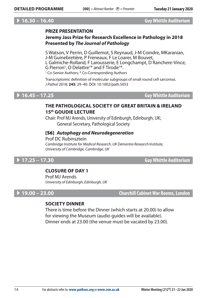### A **16.30 – 16.40 Guy Whittle Auditorium**

### **PRIZE PRESENTATION**

# **Jeremy Jass Prize for Research Excellence in Pathology in 2018 Presented by** *The Journal of Pathology*

S Watson, V Perrin, D Guillemot, S Reynaud, J-M Coindre, MKaranian, J-M Guinebretière, P Freneaux, F Le Loarer, M Bouvet, L Galmiche-Rolland, F Larousserie, E Longchampt, D Ranchere-Vince, G Pierron† , O Delattre† \* and F Tirode† \*. † Co-Senior Authors; \* Co-Corresponding Authors

Transcriptomic definition of molecular subgroups of small round cell sarcomas. *J Pathol* 2018; **245**: 29–40. DOI: 10.1002/path.5053

### A **16.45 – 17.25 Guy Whittle Auditorium**

### **The Pathological Society of Great Britain & Ireland 15th Goudie Lecture**

Chair: Prof MJ Arends, University of Edinburgh, Edinburgh, UK; General Secretary, Pathological Society

### [S6] *Autophagy and Neurodegeneration*

Prof DC Rubinsztein *Cambridge Institute for Medical Research, UK Dementia Research Institute, University of Cambridge, Cambridge, UK*

A **17.25 – 17.30 Guy Whittle Auditorium**

### **CLOSURE OF DAY 1**

Prof MJ Arends *University of Edinburgh, Edinburgh, UK*

A **19.00 – 23.00 Churchill Cabinet War Rooms, London**

### **SOCIETY Dinner**

There is time before the Dinner (which starts at 20.00) to allow for viewing the Museum (audio guides will be available). Dinner ends at 23.00 (the venue must be vacated by 23.00).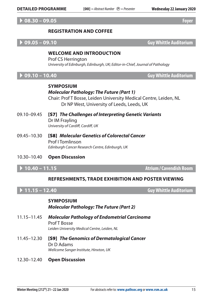### A **08.30 – 09.05 Foyer**

### **Registration and coffee**

A **09.05 – 09.10 Guy Whittle Auditorium**

### **Welcome and Introduction**

Prof CS Herrington *University of Edinburgh, Edinburgh, UK; Editor-in-Chief, Journal of Pathology*

A **09.10 – 10.40 Guy Whittle Auditorium**

### **Symposium** *Molecular Pathology: The Future (Part 1)*

Chair: Prof T Bosse, Leiden University Medical Centre, Leiden, NL Dr NP West, University of Leeds, Leeds, UK

- 09.10–09.45 [S7] *The Challenges of Interpreting Genetic Variants* Dr IM Frayling *University of Cardiff, Cardiff, UK*
- 09.45–10.30 [S8] *Molecular Genetics of Colorectal Cancer* Prof I Tomlinson *Edinburgh Cancer Research Centre, Edinburgh, UK*
- 10.30–10.40 **Open Discussion**

A **10.40 – 11.15 Atrium/Cavendish Room**

### **REFRESHMENTS, Trade Exhibition and Poster Viewing**

A **11.15 – 12.40 Guy Whittle Auditorium**

### **Symposium** *Molecular Pathology: The Future (Part 2)*

- 11.15–11.45 *Molecular Pathology of Endometrial Carcinoma* Prof T Bosse *Leiden University Medical Centre, Leiden, NL*
- 11.45–12.30 [S9] *The Genomics of Dermatological Cancer* Dr D Adams *Wellcome Sanger Institute, Hinxton, UK*
- 12.30–12.40 **Open Discussion**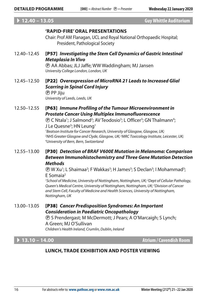### A **12.40 – 13.05 Guy Whittle Auditorium**

### **'RAPID-FIRE' Oral Presentations**

Chair: Prof AM Flanagan, UCL and Royal National Orthopaedic Hospital; President, Pathological Society

12.40–12.45 [P57] *Investigating the Stem Cell Dynamics of Gastric Intestinal Metaplasia In Vivo*

> P AA Abbas; JLJ Jaffe; WW Waddingham; MJ Jansen *University College London, London, UK*

12.45–12.50 [P22] *Overexpression of MicroRNA 21 Leads to Increased Glial Scarring in Spinal Cord Injury* P PP Jiju

*University of Leeds, Leeds, UK*

12.50–12.55 [P63] *Immune Profiling of the Tumour Microenvironment in Prostate Cancer Using Multiplex Immunofluorescence*

> **(B)** C Ntala<sup>1</sup>; J Salmond<sup>2</sup>; AV Teodosio<sup>3</sup>; L Officer<sup>3</sup>; GN Thalmann<sup>4</sup>; J Le Quesne<sup>3</sup>; HN Leung<sup>1</sup> *1 Beatson Institute for Cancer Research, University of Glasgow, Glasgow, UK;*  <sup>2</sup>NHS Greater Glasgow and Clyde, Glasgow, UK; <sup>3</sup>MRC Toxicology Institute, Leicester, UK;<br><sup>4</sup>l Iniversity of Bern, Bern, Switzerland *University of Bern, Bern, Switzerland*

### 12.55–13.00 [P30] *Detection of BRAF V600E Mutation in Melanoma: Comparison Between Immunohistochemistry and Three Gene Mutation Detection Methods*

**(B)** W Xu<sup>1</sup>; L Shaimaa<sup>2</sup>; F Wakkas<sup>3</sup>; H James<sup>3</sup>; S Declan<sup>3</sup>; I Mohammad<sup>3</sup>; E Somaia2

<sup>1</sup> School of Medicine, University of Nottingham, Nottingham, UK; <sup>2</sup> Dept of Cellular Pathology, *Queen's Medical Centre, University of Nottingham, Nottingham, UK; 3 Division of Cancer and Stem Cell, Faculty of Medicine and Health Sciences, University of Nottingham, Nottingham, UK*

### 13.00–13.05 [P38] *Cancer Predisposition Syndromes: An Important Consideration in Paediatric Oncopathology*

P S Prendergast; M McDermott; J Pears; A O'Marcaigh; S Lynch; A Green; MJ O'Sullivan *Children's Health Ireland, Crumlin, Dublin, Ireland*

A **13.10 – 14.00 Atrium/Cavendish Room**

# **LUNCH, Trade Exhibition AND Poster Viewing**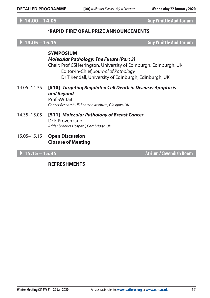# A **14.00 – 14.05 Guy Whittle Auditorium**

### **'RAPID-FIRE' Oral PRIZE ANNOUNCEMENTS**

A **14.05 – 15.15 Guy Whittle Auditorium**

# **Symposium** *Molecular Pathology: The Future (Part 3)* Chair: Prof CSHerrington, University of Edinburgh, Edinburgh, UK; Editor-in-Chief, *Journal of Pathology* Dr T Kendall, University of Edinburgh, Edinburgh, UK 14.05–14.35 [S10] *Targeting Regulated Cell Death in Disease: Apoptosis and Beyond* Prof SW Tait

*Cancer Research UK Beatson Institute, Glasgow, UK*

- 14.35–15.05 [S11] *Molecular Pathology of Breast Cancer* Dr E Provenzano *Addenbrookes Hospital, Cambridge, UK*
- 15.05–15.15 **Open Discussion Closure of Meeting**

A **15.15 – 15.35 Atrium/Cavendish Room**

### **REFRESHMENTS**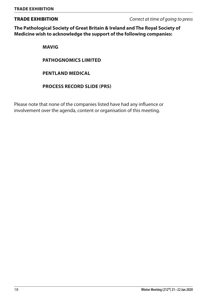Trade Exhibition *Correct at time of going to press*

**The Pathological Society of Great Britain & Ireland and The Royal Society of Medicine wish to acknowledge the support of the following companies:** 

**Mavig**

**PATHOGNOMICS LIMITED**

**Pentland Medical**

### **PROCESS RECORD SLIDE (PRS)**

Please note that none of the companies listed have had any influence or involvement over the agenda, content or organisation of this meeting.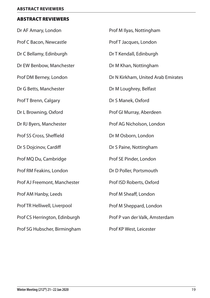### Abstract Reviewers

| Dr AF Amary, London           | Prof M Ilyas, Nottingham           |
|-------------------------------|------------------------------------|
| Prof C Bacon, Newcastle       | Prof T Jacques, London             |
| Dr C Bellamy, Edinburgh       | Dr T Kendall, Edinburgh            |
| Dr EW Benbow, Manchester      | Dr M Khan, Nottingham              |
| Prof DM Berney, London        | Dr N Kirkham, United Arab Emirates |
| Dr G Betts, Manchester        | Dr M Loughrey, Belfast             |
| Prof T Brenn, Calgary         | Dr S Manek, Oxford                 |
| Dr L Browning, Oxford         | Prof GI Murray, Aberdeen           |
| Dr RJ Byers, Manchester       | Prof AG Nicholson, London          |
| Prof SS Cross, Sheffield      | Dr M Osborn, London                |
| Dr S Dojcinov, Cardiff        | Dr S Paine, Nottingham             |
| Prof MQ Du, Cambridge         | Prof SE Pinder, London             |
| Prof RM Feakins, London       | Dr D Poller, Portsmouth            |
| Prof AJ Freemont, Manchester  | Prof ISD Roberts, Oxford           |
| Prof AM Hanby, Leeds          | Prof M Sheaff, London              |
| Prof TR Helliwell, Liverpool  | Prof M Sheppard, London            |
| Prof CS Herrington, Edinburgh | Prof P van der Valk, Amsterdam     |
| Prof SG Hubscher, Birmingham  | Prof KP West, Leicester            |